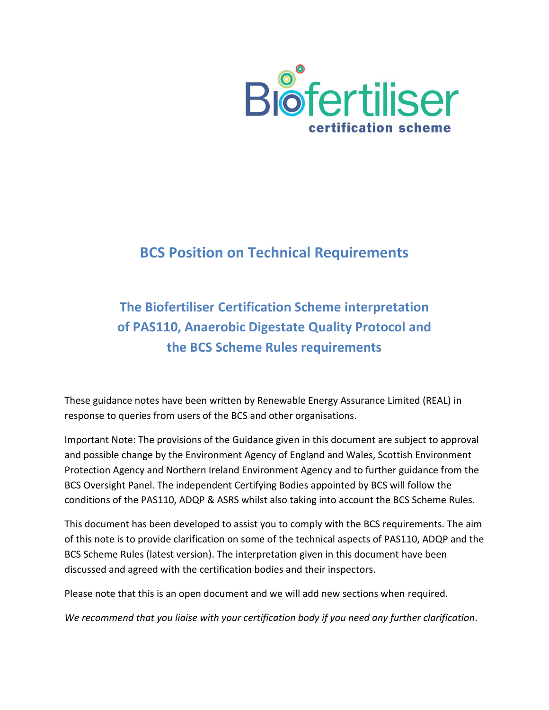

# **BCS Position on Technical Requirements**

# **The Biofertiliser Certification Scheme interpretation of PAS110, Anaerobic Digestate Quality Protocol and the BCS Scheme Rules requirements**

These guidance notes have been written by Renewable Energy Assurance Limited (REAL) in response to queries from users of the BCS and other organisations.

Important Note: The provisions of the Guidance given in this document are subject to approval and possible change by the Environment Agency of England and Wales, Scottish Environment Protection Agency and Northern Ireland Environment Agency and to further guidance from the BCS Oversight Panel. The independent Certifying Bodies appointed by BCS will follow the conditions of the PAS110, ADQP & ASRS whilst also taking into account the BCS Scheme Rules.

This document has been developed to assist you to comply with the BCS requirements. The aim of this note is to provide clarification on some of the technical aspects of PAS110, ADQP and the BCS Scheme Rules (latest version). The interpretation given in this document have been discussed and agreed with the certification bodies and their inspectors.

Please note that this is an open document and we will add new sections when required.

*We recommend that you liaise with your certification body if you need any further clarification.*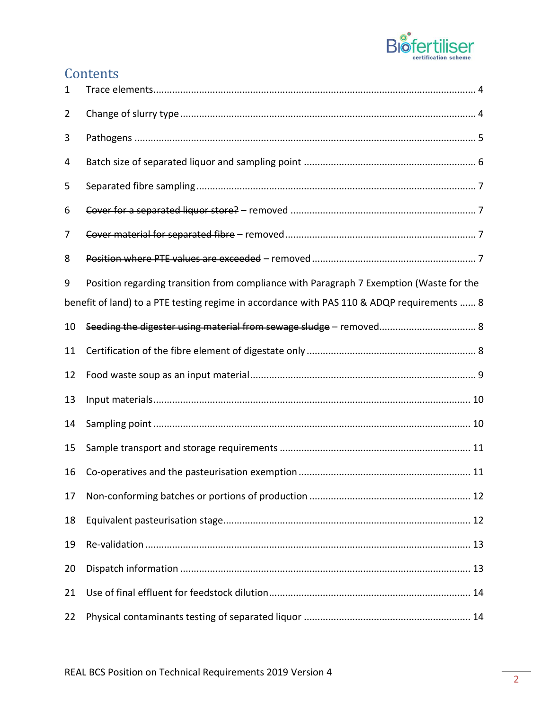

# **Contents**

| $\mathbf{1}$                                                                               |                                                                                         |
|--------------------------------------------------------------------------------------------|-----------------------------------------------------------------------------------------|
| 2                                                                                          |                                                                                         |
| 3                                                                                          |                                                                                         |
| 4                                                                                          |                                                                                         |
| 5                                                                                          |                                                                                         |
| 6                                                                                          |                                                                                         |
| 7                                                                                          |                                                                                         |
| 8                                                                                          |                                                                                         |
| 9                                                                                          | Position regarding transition from compliance with Paragraph 7 Exemption (Waste for the |
| benefit of land) to a PTE testing regime in accordance with PAS 110 & ADQP requirements  8 |                                                                                         |
| 10                                                                                         | Seeding the digester using material from sewage sludge - removed 8                      |
| 11                                                                                         |                                                                                         |
| 12                                                                                         |                                                                                         |
| 13                                                                                         |                                                                                         |
| 14                                                                                         |                                                                                         |
| 15                                                                                         |                                                                                         |
| 16                                                                                         |                                                                                         |
| 17                                                                                         |                                                                                         |
| 18                                                                                         |                                                                                         |
| 19                                                                                         |                                                                                         |
| 20                                                                                         |                                                                                         |
| 21                                                                                         |                                                                                         |
| 22                                                                                         |                                                                                         |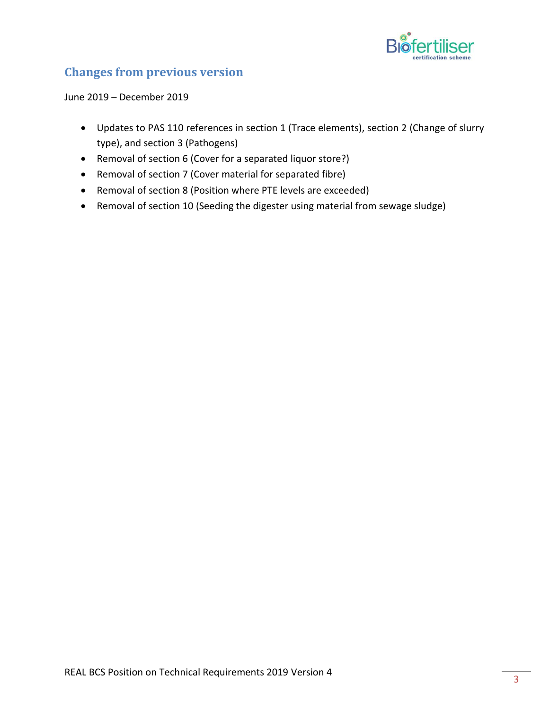

# **Changes from previous version**

June 2019 – December 2019

- Updates to PAS 110 references in section 1 (Trace elements), section 2 (Change of slurry type), and section 3 (Pathogens)
- Removal of section 6 (Cover for a separated liquor store?)
- Removal of section 7 (Cover material for separated fibre)
- Removal of section 8 (Position where PTE levels are exceeded)
- Removal of section 10 (Seeding the digester using material from sewage sludge)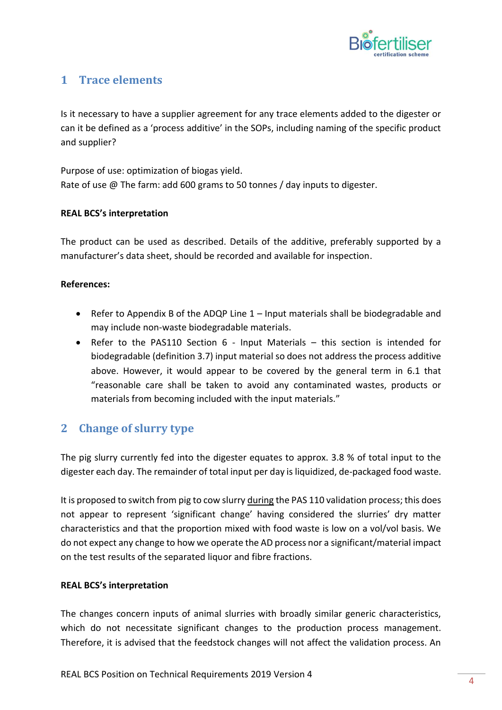

# <span id="page-3-0"></span>**1 Trace elements**

Is it necessary to have a supplier agreement for any trace elements added to the digester or can it be defined as a 'process additive' in the SOPs, including naming of the specific product and supplier?

Purpose of use: optimization of biogas yield. Rate of use @ The farm: add 600 grams to 50 tonnes / day inputs to digester.

#### **REAL BCS's interpretation**

The product can be used as described. Details of the additive, preferably supported by a manufacturer's data sheet, should be recorded and available for inspection.

#### **References:**

- Refer to Appendix B of the ADQP Line 1 Input materials shall be biodegradable and may include non‐waste biodegradable materials.
- Refer to the PAS110 Section 6 Input Materials this section is intended for biodegradable (definition 3.7) input material so does not address the process additive above. However, it would appear to be covered by the general term in 6.1 that "reasonable care shall be taken to avoid any contaminated wastes, products or materials from becoming included with the input materials."

# <span id="page-3-1"></span>**2 Change of slurry type**

The pig slurry currently fed into the digester equates to approx. 3.8 % of total input to the digester each day. The remainder of total input per day is liquidized, de‐packaged food waste.

It is proposed to switch from pig to cow slurry during the PAS 110 validation process; this does not appear to represent 'significant change' having considered the slurries' dry matter characteristics and that the proportion mixed with food waste is low on a vol/vol basis. We do not expect any change to how we operate the AD process nor a significant/material impact on the test results of the separated liquor and fibre fractions.

#### **REAL BCS's interpretation**

The changes concern inputs of animal slurries with broadly similar generic characteristics, which do not necessitate significant changes to the production process management. Therefore, it is advised that the feedstock changes will not affect the validation process. An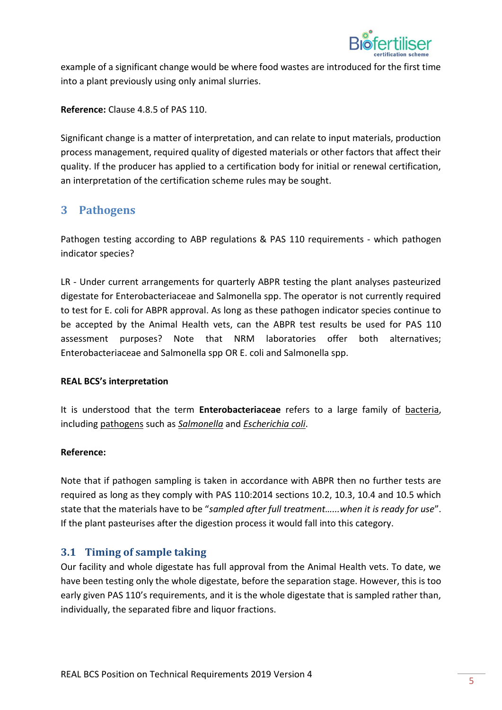

example of a significant change would be where food wastes are introduced for the first time into a plant previously using only animal slurries.

**Reference:** Clause 4.8.5 of PAS 110.

<span id="page-4-0"></span>Significant change is a matter of interpretation, and can relate to input materials, production process management, required quality of digested materials or other factors that affect their quality. If the producer has applied to a certification body for initial or renewal certification, an interpretation of the certification scheme rules may be sought.

### **3 Pathogens**

Pathogen testing according to ABP regulations & PAS 110 requirements ‐ which pathogen indicator species?

LR - Under current arrangements for quarterly ABPR testing the plant analyses pasteurized digestate for Enterobacteriaceae and Salmonella spp. The operator is not currently required to test for E. coli for ABPR approval. As long as these pathogen indicator species continue to be accepted by the Animal Health vets, can the ABPR test results be used for PAS 110 assessment purposes? Note that NRM laboratories offer both alternatives; Enterobacteriaceae and Salmonella spp OR E. coli and Salmonella spp.

#### **REAL BCS's interpretation**

It is understood that the term **Enterobacteriaceae** refers to a large family of bacteria, including pathogens such as *Salmonella* and *Escherichia coli*.

#### **Reference:**

Note that if pathogen sampling is taken in accordance with ABPR then no further tests are required as long as they comply with PAS 110:2014 sections 10.2, 10.3, 10.4 and 10.5 which state that the materials have to be "*sampled after full treatment…...when it is ready for use*". If the plant pasteurises after the digestion process it would fall into this category.

### **3.1 Timing of sample taking**

Our facility and whole digestate has full approval from the Animal Health vets. To date, we have been testing only the whole digestate, before the separation stage. However, this is too early given PAS 110's requirements, and it is the whole digestate that is sampled rather than, individually, the separated fibre and liquor fractions.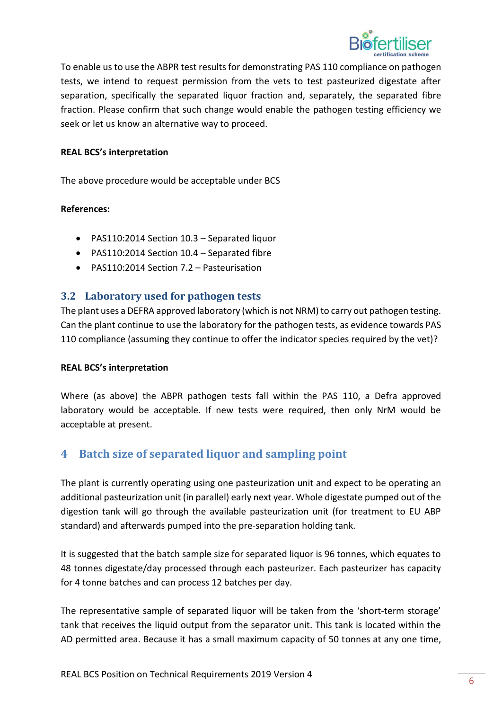

To enable us to use the ABPR test results for demonstrating PAS 110 compliance on pathogen tests, we intend to request permission from the vets to test pasteurized digestate after separation, specifically the separated liquor fraction and, separately, the separated fibre fraction. Please confirm that such change would enable the pathogen testing efficiency we seek or let us know an alternative way to proceed.

#### **REAL BCS's interpretation**

The above procedure would be acceptable under BCS

#### **References:**

- PAS110:2014 Section 10.3 Separated liquor
- PAS110:2014 Section 10.4 Separated fibre
- PAS110:2014 Section 7.2 Pasteurisation

#### **3.2 Laboratory used for pathogen tests**

The plant uses a DEFRA approved laboratory (which is not NRM) to carry out pathogen testing. Can the plant continue to use the laboratory for the pathogen tests, as evidence towards PAS 110 compliance (assuming they continue to offer the indicator species required by the vet)?

#### **REAL BCS's interpretation**

<span id="page-5-0"></span>Where (as above) the ABPR pathogen tests fall within the PAS 110, a Defra approved laboratory would be acceptable. If new tests were required, then only NrM would be acceptable at present.

### **4 Batch size of separated liquor and sampling point**

The plant is currently operating using one pasteurization unit and expect to be operating an additional pasteurization unit (in parallel) early next year. Whole digestate pumped out of the digestion tank will go through the available pasteurization unit (for treatment to EU ABP standard) and afterwards pumped into the pre‐separation holding tank.

It is suggested that the batch sample size for separated liquor is 96 tonnes, which equates to 48 tonnes digestate/day processed through each pasteurizer. Each pasteurizer has capacity for 4 tonne batches and can process 12 batches per day.

The representative sample of separated liquor will be taken from the 'short-term storage' tank that receives the liquid output from the separator unit. This tank is located within the AD permitted area. Because it has a small maximum capacity of 50 tonnes at any one time,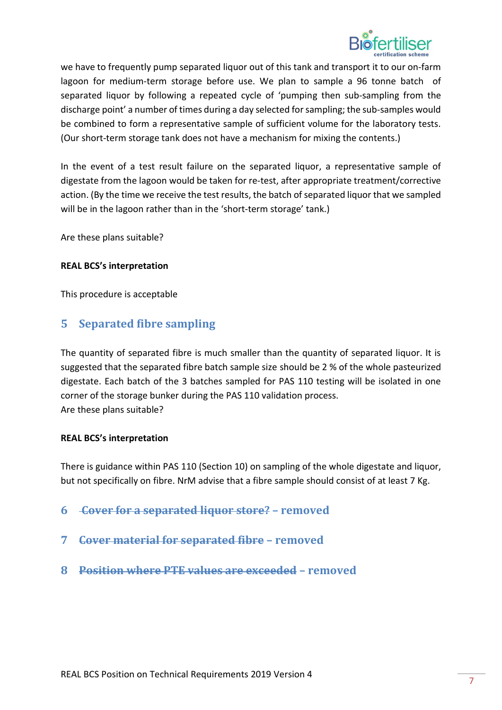

we have to frequently pump separated liquor out of this tank and transport it to our on‐farm lagoon for medium-term storage before use. We plan to sample a 96 tonne batch of separated liquor by following a repeated cycle of 'pumping then sub-sampling from the discharge point' a number of times during a day selected for sampling; the sub‐samples would be combined to form a representative sample of sufficient volume for the laboratory tests. (Our short‐term storage tank does not have a mechanism for mixing the contents.)

In the event of a test result failure on the separated liquor, a representative sample of digestate from the lagoon would be taken for re‐test, after appropriate treatment/corrective action. (By the time we receive the test results, the batch of separated liquor that we sampled will be in the lagoon rather than in the 'short-term storage' tank.)

Are these plans suitable?

#### <span id="page-6-0"></span>**REAL BCS's interpretation**

This procedure is acceptable

### **5 Separated fibre sampling**

The quantity of separated fibre is much smaller than the quantity of separated liquor. It is suggested that the separated fibre batch sample size should be 2 % of the whole pasteurized digestate. Each batch of the 3 batches sampled for PAS 110 testing will be isolated in one corner of the storage bunker during the PAS 110 validation process. Are these plans suitable?

#### **REAL BCS's interpretation**

<span id="page-6-1"></span>There is guidance within PAS 110 (Section 10) on sampling of the whole digestate and liquor, but not specifically on fibre. NrM advise that a fibre sample should consist of at least 7 Kg.

- <span id="page-6-2"></span>**6 Cover for a separated liquor store? – removed**
- <span id="page-6-3"></span>**7 Cover material for separated fibre – removed**
- **8 Position where PTE values are exceeded – removed**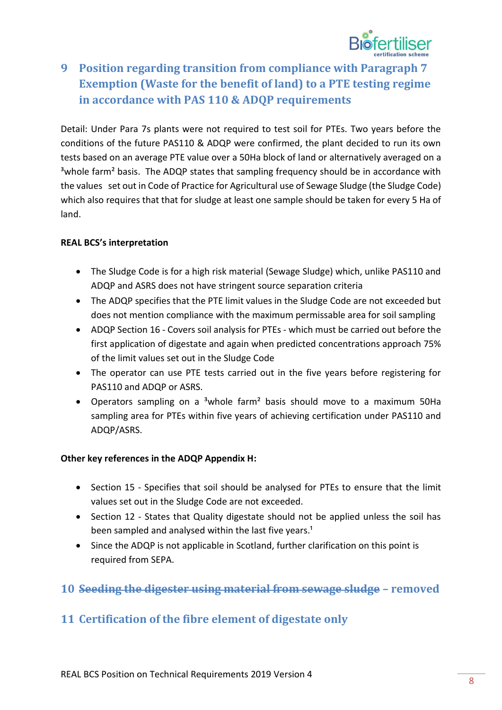

# <span id="page-7-0"></span>**9 Position regarding transition from compliance with Paragraph 7 Exemption (Waste for the benefit of land) to a PTE testing regime in accordance with PAS 110 & ADQP requirements**

Detail: Under Para 7s plants were not required to test soil for PTEs. Two years before the conditions of the future PAS110 & ADQP were confirmed, the plant decided to run its own tests based on an average PTE value over a 50Ha block of land or alternatively averaged on a <sup>3</sup> whole farm<sup>2</sup> basis. The ADQP states that sampling frequency should be in accordance with the values set out in Code of Practice for Agricultural use of Sewage Sludge (the Sludge Code) which also requires that that for sludge at least one sample should be taken for every 5 Ha of land.

#### **REAL BCS's interpretation**

- The Sludge Code is for a high risk material (Sewage Sludge) which, unlike PAS110 and ADQP and ASRS does not have stringent source separation criteria
- The ADQP specifies that the PTE limit values in the Sludge Code are not exceeded but does not mention compliance with the maximum permissable area for soil sampling
- ADQP Section 16 ‐ Covers soil analysis for PTEs ‐ which must be carried out before the first application of digestate and again when predicted concentrations approach 75% of the limit values set out in the Sludge Code
- The operator can use PTE tests carried out in the five years before registering for PAS110 and ADQP or ASRS.
- Operators sampling on a <sup>3</sup>whole farm<sup>2</sup> basis should move to a maximum 50Ha sampling area for PTEs within five years of achieving certification under PAS110 and ADQP/ASRS.

#### **Other key references in the ADQP Appendix H:**

- Section 15 Specifies that soil should be analysed for PTEs to ensure that the limit values set out in the Sludge Code are not exceeded.
- Section 12 States that Quality digestate should not be applied unless the soil has been sampled and analysed within the last five years.<sup>1</sup>
- <span id="page-7-1"></span>• Since the ADQP is not applicable in Scotland, further clarification on this point is required from SEPA.

### <span id="page-7-2"></span>**10 Seeding the digester using material from sewage sludge – removed**

### **11 Certification of the fibre element of digestate only**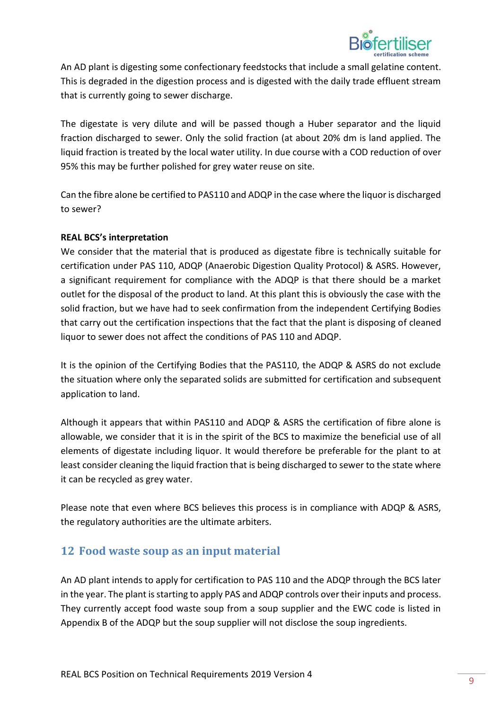

An AD plant is digesting some confectionary feedstocks that include a small gelatine content. This is degraded in the digestion process and is digested with the daily trade effluent stream that is currently going to sewer discharge.

The digestate is very dilute and will be passed though a Huber separator and the liquid fraction discharged to sewer. Only the solid fraction (at about 20% dm is land applied. The liquid fraction is treated by the local water utility. In due course with a COD reduction of over 95% this may be further polished for grey water reuse on site.

Can the fibre alone be certified to PAS110 and ADQP in the case where the liquor is discharged to sewer?

#### **REAL BCS's interpretation**

We consider that the material that is produced as digestate fibre is technically suitable for certification under PAS 110, ADQP (Anaerobic Digestion Quality Protocol) & ASRS. However, a significant requirement for compliance with the ADQP is that there should be a market outlet for the disposal of the product to land. At this plant this is obviously the case with the solid fraction, but we have had to seek confirmation from the independent Certifying Bodies that carry out the certification inspections that the fact that the plant is disposing of cleaned liquor to sewer does not affect the conditions of PAS 110 and ADQP.

It is the opinion of the Certifying Bodies that the PAS110, the ADQP & ASRS do not exclude the situation where only the separated solids are submitted for certification and subsequent application to land.

Although it appears that within PAS110 and ADQP & ASRS the certification of fibre alone is allowable, we consider that it is in the spirit of the BCS to maximize the beneficial use of all elements of digestate including liquor. It would therefore be preferable for the plant to at least consider cleaning the liquid fraction that is being discharged to sewer to the state where it can be recycled as grey water.

<span id="page-8-0"></span>Please note that even where BCS believes this process is in compliance with ADQP & ASRS, the regulatory authorities are the ultimate arbiters.

### **12 Food waste soup as an input material**

An AD plant intends to apply for certification to PAS 110 and the ADQP through the BCS later in the year. The plant is starting to apply PAS and ADQP controls over their inputs and process. They currently accept food waste soup from a soup supplier and the EWC code is listed in Appendix B of the ADQP but the soup supplier will not disclose the soup ingredients.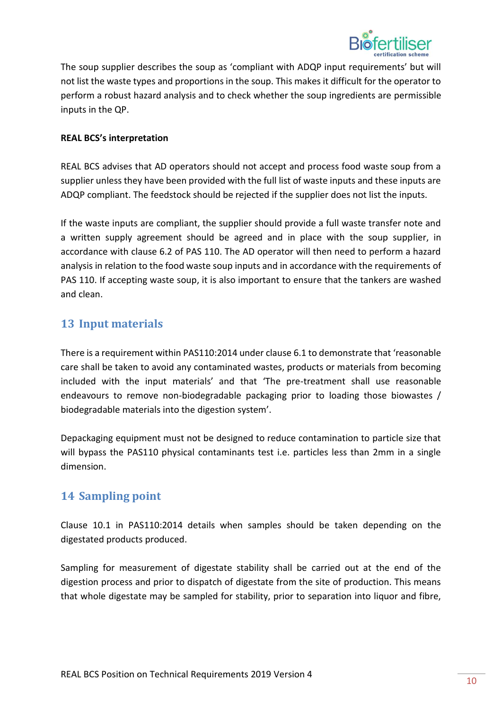

The soup supplier describes the soup as 'compliant with ADQP input requirements' but will not list the waste types and proportions in the soup. This makes it difficult for the operator to perform a robust hazard analysis and to check whether the soup ingredients are permissible inputs in the QP.

#### **REAL BCS's interpretation**

REAL BCS advises that AD operators should not accept and process food waste soup from a supplier unless they have been provided with the full list of waste inputs and these inputs are ADQP compliant. The feedstock should be rejected if the supplier does not list the inputs.

If the waste inputs are compliant, the supplier should provide a full waste transfer note and a written supply agreement should be agreed and in place with the soup supplier, in accordance with clause 6.2 of PAS 110. The AD operator will then need to perform a hazard analysis in relation to the food waste soup inputs and in accordance with the requirements of PAS 110. If accepting waste soup, it is also important to ensure that the tankers are washed and clean.

### <span id="page-9-0"></span>**13 Input materials**

There is a requirement within PAS110:2014 under clause 6.1 to demonstrate that 'reasonable care shall be taken to avoid any contaminated wastes, products or materials from becoming included with the input materials' and that 'The pre-treatment shall use reasonable endeavours to remove non-biodegradable packaging prior to loading those biowastes / biodegradable materials into the digestion system'.

<span id="page-9-1"></span>Depackaging equipment must not be designed to reduce contamination to particle size that will bypass the PAS110 physical contaminants test i.e. particles less than 2mm in a single dimension.

### **14 Sampling point**

Clause 10.1 in PAS110:2014 details when samples should be taken depending on the digestated products produced.

Sampling for measurement of digestate stability shall be carried out at the end of the digestion process and prior to dispatch of digestate from the site of production. This means that whole digestate may be sampled for stability, prior to separation into liquor and fibre,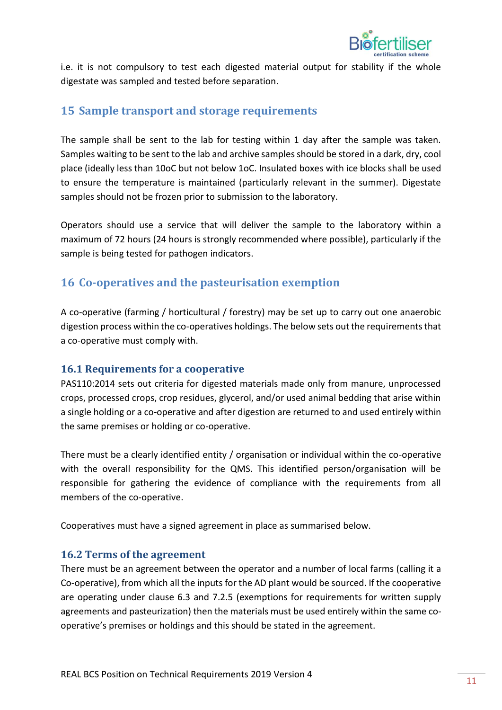

<span id="page-10-0"></span>i.e. it is not compulsory to test each digested material output for stability if the whole digestate was sampled and tested before separation.

## **15 Sample transport and storage requirements**

The sample shall be sent to the lab for testing within 1 day after the sample was taken. Samples waiting to be sent to the lab and archive samples should be stored in a dark, dry, cool place (ideally less than 10oC but not below 1oC. Insulated boxes with ice blocks shall be used to ensure the temperature is maintained (particularly relevant in the summer). Digestate samples should not be frozen prior to submission to the laboratory.

<span id="page-10-1"></span>Operators should use a service that will deliver the sample to the laboratory within a maximum of 72 hours (24 hours is strongly recommended where possible), particularly if the sample is being tested for pathogen indicators.

### **16 Co-operatives and the pasteurisation exemption**

A co-operative (farming / horticultural / forestry) may be set up to carry out one anaerobic digestion process within the co-operatives holdings. The below sets out the requirements that a co-operative must comply with.

#### **16.1 Requirements for a cooperative**

PAS110:2014 sets out criteria for digested materials made only from manure, unprocessed crops, processed crops, crop residues, glycerol, and/or used animal bedding that arise within a single holding or a co-operative and after digestion are returned to and used entirely within the same premises or holding or co-operative.

There must be a clearly identified entity / organisation or individual within the co-operative with the overall responsibility for the QMS. This identified person/organisation will be responsible for gathering the evidence of compliance with the requirements from all members of the co-operative.

Cooperatives must have a signed agreement in place as summarised below.

### **16.2 Terms of the agreement**

There must be an agreement between the operator and a number of local farms (calling it a Co-operative), from which all the inputs for the AD plant would be sourced. If the cooperative are operating under clause 6.3 and 7.2.5 (exemptions for requirements for written supply agreements and pasteurization) then the materials must be used entirely within the same cooperative's premises or holdings and this should be stated in the agreement.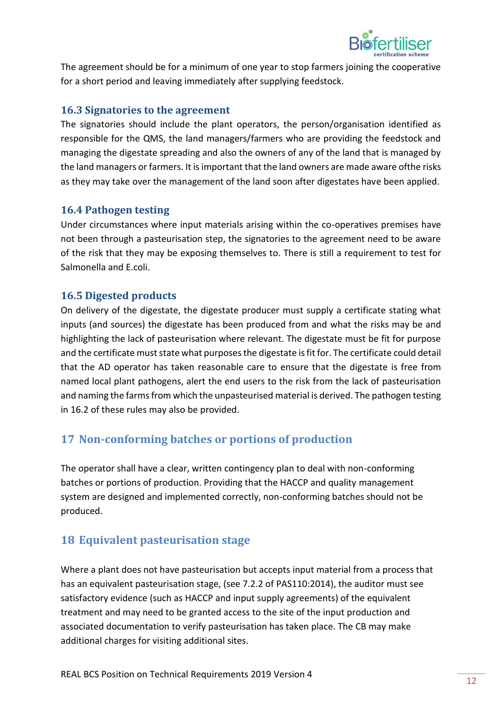

The agreement should be for a minimum of one year to stop farmers joining the cooperative for a short period and leaving immediately after supplying feedstock.

#### **16.3 Signatories to the agreement**

The signatories should include the plant operators, the person/organisation identified as responsible for the QMS, the land managers/farmers who are providing the feedstock and managing the digestate spreading and also the owners of any of the land that is managed by the land managers or farmers. It is important that the land owners are made aware ofthe risks as they may take over the management of the land soon after digestates have been applied.

#### **16.4 Pathogen testing**

Under circumstances where input materials arising within the co-operatives premises have not been through a pasteurisation step, the signatories to the agreement need to be aware of the risk that they may be exposing themselves to. There is still a requirement to test for Salmonella and E.coli.

#### **16.5 Digested products**

On delivery of the digestate, the digestate producer must supply a certificate stating what inputs (and sources) the digestate has been produced from and what the risks may be and highlighting the lack of pasteurisation where relevant. The digestate must be fit for purpose and the certificate must state what purposes the digestate is fit for. The certificate could detail that the AD operator has taken reasonable care to ensure that the digestate is free from named local plant pathogens, alert the end users to the risk from the lack of pasteurisation and naming the farms from which the unpasteurised material is derived. The pathogen testing in 16.2 of these rules may also be provided.

# <span id="page-11-0"></span>**17 Non-conforming batches or portions of production**

<span id="page-11-1"></span>The operator shall have a clear, written contingency plan to deal with non-conforming batches or portions of production. Providing that the HACCP and quality management system are designed and implemented correctly, non-conforming batches should not be produced.

# **18 Equivalent pasteurisation stage**

Where a plant does not have pasteurisation but accepts input material from a process that has an equivalent pasteurisation stage, (see 7.2.2 of PAS110:2014), the auditor must see satisfactory evidence (such as HACCP and input supply agreements) of the equivalent treatment and may need to be granted access to the site of the input production and associated documentation to verify pasteurisation has taken place. The CB may make additional charges for visiting additional sites.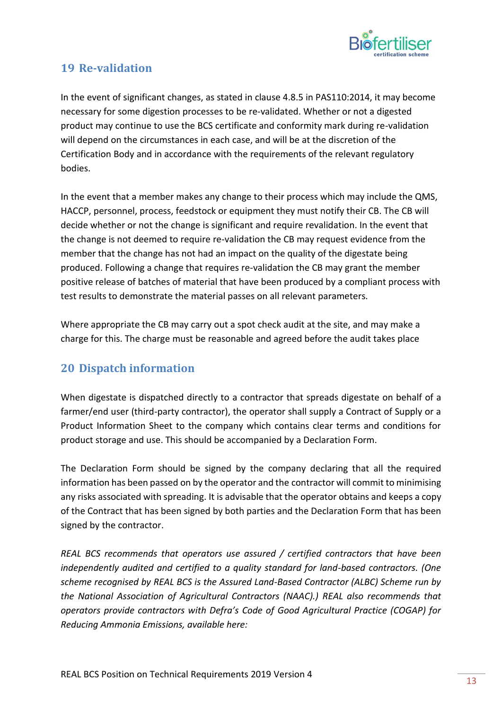

# <span id="page-12-0"></span>**19 Re-validation**

In the event of significant changes, as stated in clause 4.8.5 in PAS110:2014, it may become necessary for some digestion processes to be re-validated. Whether or not a digested product may continue to use the BCS certificate and conformity mark during re-validation will depend on the circumstances in each case, and will be at the discretion of the Certification Body and in accordance with the requirements of the relevant regulatory bodies.

In the event that a member makes any change to their process which may include the QMS, HACCP, personnel, process, feedstock or equipment they must notify their CB. The CB will decide whether or not the change is significant and require revalidation. In the event that the change is not deemed to require re-validation the CB may request evidence from the member that the change has not had an impact on the quality of the digestate being produced. Following a change that requires re-validation the CB may grant the member positive release of batches of material that have been produced by a compliant process with test results to demonstrate the material passes on all relevant parameters.

<span id="page-12-1"></span>Where appropriate the CB may carry out a spot check audit at the site, and may make a charge for this. The charge must be reasonable and agreed before the audit takes place

### **20 Dispatch information**

When digestate is dispatched directly to a contractor that spreads digestate on behalf of a farmer/end user (third-party contractor), the operator shall supply a Contract of Supply or a Product Information Sheet to the company which contains clear terms and conditions for product storage and use. This should be accompanied by a Declaration Form.

The Declaration Form should be signed by the company declaring that all the required information has been passed on by the operator and the contractor will commit to minimising any risks associated with spreading. It is advisable that the operator obtains and keeps a copy of the Contract that has been signed by both parties and the Declaration Form that has been signed by the contractor.

*REAL BCS recommends that operators use assured / certified contractors that have been independently audited and certified to a quality standard for land-based contractors. (One scheme recognised by REAL BCS is the Assured Land-Based Contractor (ALBC) Scheme run by the National Association of Agricultural Contractors (NAAC).) REAL also recommends that operators provide contractors with Defra's Code of Good Agricultural Practice (COGAP) for Reducing Ammonia Emissions, available here:*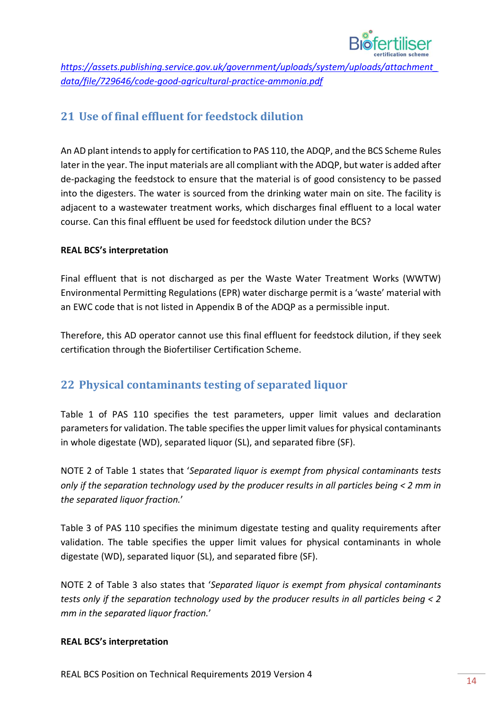

<span id="page-13-0"></span>*[https://assets.publishing.service.gov.uk/government/uploads/system/uploads/attachment\\_](https://assets.publishing.service.gov.uk/government/uploads/system/uploads/attachment_data/file/729646/code-good-agricultural-practice-ammonia.pdf) [data/file/729646/code-good-agricultural-practice-ammonia.pdf](https://assets.publishing.service.gov.uk/government/uploads/system/uploads/attachment_data/file/729646/code-good-agricultural-practice-ammonia.pdf)*

# **21 Use of final effluent for feedstock dilution**

An AD plant intends to apply for certification to PAS 110, the ADQP, and the BCS Scheme Rules later in the year. The input materials are all compliant with the ADQP, but water is added after de-packaging the feedstock to ensure that the material is of good consistency to be passed into the digesters. The water is sourced from the drinking water main on site. The facility is adjacent to a wastewater treatment works, which discharges final effluent to a local water course. Can this final effluent be used for feedstock dilution under the BCS?

#### **REAL BCS's interpretation**

Final effluent that is not discharged as per the Waste Water Treatment Works (WWTW) Environmental Permitting Regulations (EPR) water discharge permit is a 'waste' material with an EWC code that is not listed in Appendix B of the ADQP as a permissible input.

<span id="page-13-1"></span>Therefore, this AD operator cannot use this final effluent for feedstock dilution, if they seek certification through the Biofertiliser Certification Scheme.

### **22 Physical contaminants testing of separated liquor**

Table 1 of PAS 110 specifies the test parameters, upper limit values and declaration parameters for validation. The table specifies the upper limit values for physical contaminants in whole digestate (WD), separated liquor (SL), and separated fibre (SF).

NOTE 2 of Table 1 states that '*Separated liquor is exempt from physical contaminants tests only if the separation technology used by the producer results in all particles being < 2 mm in the separated liquor fraction.*'

Table 3 of PAS 110 specifies the minimum digestate testing and quality requirements after validation. The table specifies the upper limit values for physical contaminants in whole digestate (WD), separated liquor (SL), and separated fibre (SF).

NOTE 2 of Table 3 also states that '*Separated liquor is exempt from physical contaminants tests only if the separation technology used by the producer results in all particles being < 2 mm in the separated liquor fraction.*'

#### **REAL BCS's interpretation**